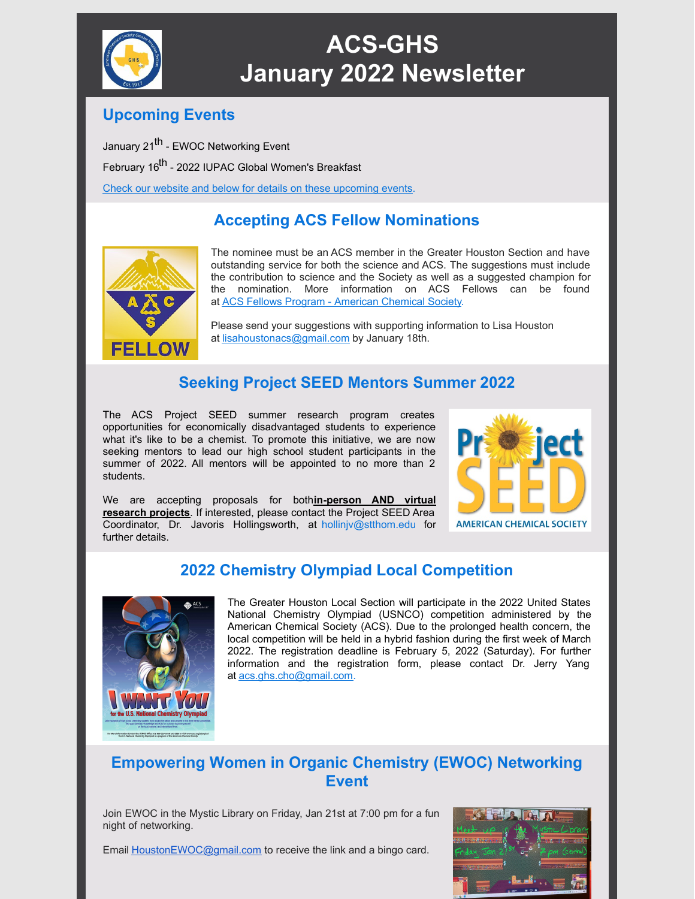

# **ACS-GHS January 2022 Newsletter**

#### **Upcoming Events**

January 21<sup>th</sup> - EWOC Networking Event February 16<sup>th</sup> - 2022 IUPAC Global Women's Breakfast Check our website and below for details on these [upcoming](https://acsghs.wildapricot.org/) events.

## **Accepting ACS Fellow Nominations**



The nominee must be an ACS member in the Greater Houston Section and have outstanding service for both the science and ACS. The suggestions must include the contribution to science and the Society as well as a suggested champion for the nomination. More information on ACS Fellows can be found at ACS Fellows Program - [American](https://www.acs.org/content/acs/en/funding/awards/acs-fellows.html) Chemical Society.

Please send your suggestions with supporting information to Lisa Houston at [lisahoustonacs@gmail.com](mailto:lisahoustonacs@gmail.com) by January 18th.

### **Seeking Project SEED Mentors Summer 2022**

The ACS Project SEED summer research program creates opportunities for economically disadvantaged students to experience what it's like to be a chemist. To promote this initiative, we are now seeking mentors to lead our high school student participants in the summer of 2022. All mentors will be appointed to no more than 2 students.

We are accepting proposals for both**in-person AND virtual research projects**. If interested, please contact the Project SEED Area Coordinator, Dr. Javoris Hollingsworth, at [hollinjv@stthom.edu](mailto:hollinjv@stthom.edu) for further details.



#### **2022 Chemistry Olympiad Local Competition**



The Greater Houston Local Section will participate in the 2022 United States National Chemistry Olympiad (USNCO) competition administered by the American Chemical Society (ACS). Due to the prolonged health concern, the local competition will be held in a hybrid fashion during the first week of March 2022. The registration deadline is February 5, 2022 (Saturday). For further information and the registration form, please contact Dr. Jerry Yang at [acs.ghs.cho@gmail.com](mailto:acs.ghs.cho@gmail.com).

#### **Empowering Women in Organic Chemistry (EWOC) Networking Event**

Join EWOC in the Mystic Library on Friday, Jan 21st at 7:00 pm for a fun night of networking.

Email [HoustonEWOC@gmail.com](mailto:HoustonEWOC@gmail.com) to receive the link and a bingo card.